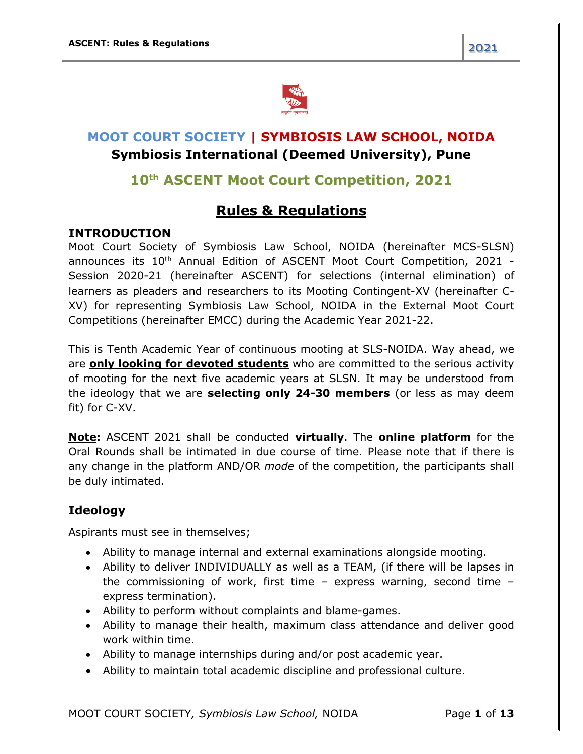

# **MOOT COURT SOCIETY | SYMBIOSIS LAW SCHOOL, NOIDA Symbiosis International (Deemed University), Pune**

## **10th ASCENT Moot Court Competition, 2021**

## **Rules & Regulations**

#### **INTRODUCTION**

Moot Court Society of Symbiosis Law School, NOIDA (hereinafter MCS-SLSN) announces its 10<sup>th</sup> Annual Edition of ASCENT Moot Court Competition, 2021 -Session 2020-21 (hereinafter ASCENT) for selections (internal elimination) of learners as pleaders and researchers to its Mooting Contingent-XV (hereinafter C-XV) for representing Symbiosis Law School, NOIDA in the External Moot Court Competitions (hereinafter EMCC) during the Academic Year 2021-22.

This is Tenth Academic Year of continuous mooting at SLS-NOIDA. Way ahead, we are **only looking for devoted students** who are committed to the serious activity of mooting for the next five academic years at SLSN. It may be understood from the ideology that we are **selecting only 24-30 members** (or less as may deem fit) for C-XV.

**Note:** ASCENT 2021 shall be conducted **virtually**. The **online platform** for the Oral Rounds shall be intimated in due course of time. Please note that if there is any change in the platform AND/OR *mode* of the competition, the participants shall be duly intimated.

### **Ideology**

Aspirants must see in themselves;

- Ability to manage internal and external examinations alongside mooting.
- Ability to deliver INDIVIDUALLY as well as a TEAM, (if there will be lapses in the commissioning of work, first time – express warning, second time – express termination).
- Ability to perform without complaints and blame-games.
- Ability to manage their health, maximum class attendance and deliver good work within time.
- Ability to manage internships during and/or post academic year.
- Ability to maintain total academic discipline and professional culture.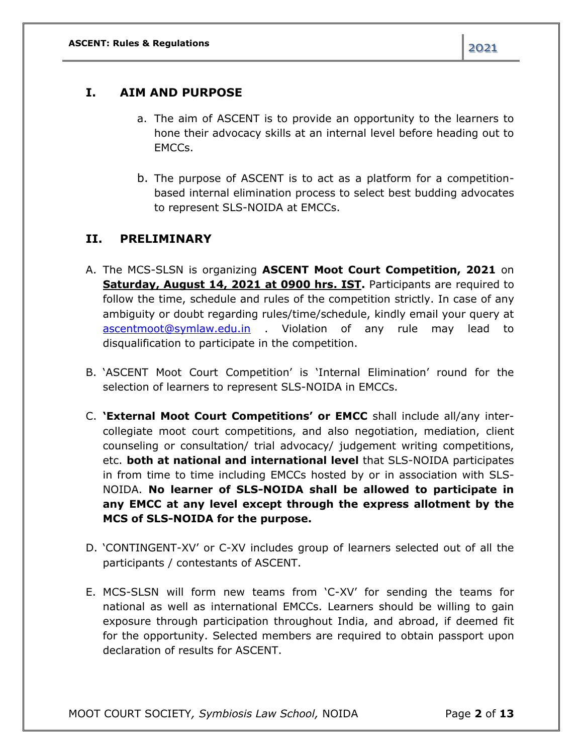### **I. AIM AND PURPOSE**

- a. The aim of ASCENT is to provide an opportunity to the learners to hone their advocacy skills at an internal level before heading out to EMCCs.
- b. The purpose of ASCENT is to act as a platform for a competitionbased internal elimination process to select best budding advocates to represent SLS-NOIDA at EMCCs.

### **II. PRELIMINARY**

- A. The MCS-SLSN is organizing **ASCENT Moot Court Competition, 2021** on **Saturday, August 14, 2021 at 0900 hrs. IST.** Participants are required to follow the time, schedule and rules of the competition strictly. In case of any ambiguity or doubt regarding rules/time/schedule, kindly email your query at [ascentmoot@symlaw.edu.in](mailto:ascentmoot@symlaw.edu.in) . Violation of any rule may lead to disqualification to participate in the competition.
- B. 'ASCENT Moot Court Competition' is 'Internal Elimination' round for the selection of learners to represent SLS-NOIDA in EMCCs.
- C. **'External Moot Court Competitions' or EMCC** shall include all/any intercollegiate moot court competitions, and also negotiation, mediation, client counseling or consultation/ trial advocacy/ judgement writing competitions, etc. **both at national and international level** that SLS-NOIDA participates in from time to time including EMCCs hosted by or in association with SLS-NOIDA. **No learner of SLS-NOIDA shall be allowed to participate in any EMCC at any level except through the express allotment by the MCS of SLS-NOIDA for the purpose.**
- D. 'CONTINGENT-XV' or C-XV includes group of learners selected out of all the participants / contestants of ASCENT.
- E. MCS-SLSN will form new teams from 'C-XV' for sending the teams for national as well as international EMCCs. Learners should be willing to gain exposure through participation throughout India, and abroad, if deemed fit for the opportunity. Selected members are required to obtain passport upon declaration of results for ASCENT.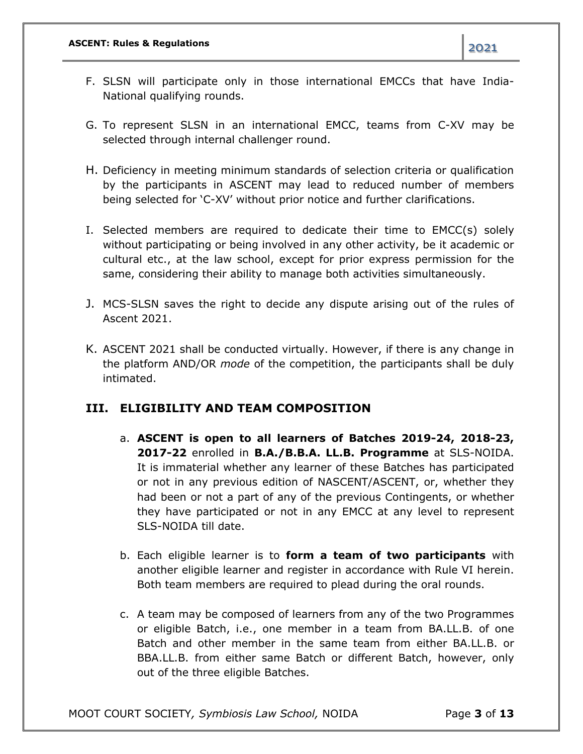- F. SLSN will participate only in those international EMCCs that have India-National qualifying rounds.
- G. To represent SLSN in an international EMCC, teams from C-XV may be selected through internal challenger round.
- H. Deficiency in meeting minimum standards of selection criteria or qualification by the participants in ASCENT may lead to reduced number of members being selected for 'C-XV' without prior notice and further clarifications.
- I. Selected members are required to dedicate their time to EMCC(s) solely without participating or being involved in any other activity, be it academic or cultural etc., at the law school, except for prior express permission for the same, considering their ability to manage both activities simultaneously.
- J. MCS-SLSN saves the right to decide any dispute arising out of the rules of Ascent 2021.
- K. ASCENT 2021 shall be conducted virtually. However, if there is any change in the platform AND/OR *mode* of the competition, the participants shall be duly intimated.

### **III. ELIGIBILITY AND TEAM COMPOSITION**

- a. **ASCENT is open to all learners of Batches 2019-24, 2018-23, 2017-22** enrolled in **B.A./B.B.A. LL.B. Programme** at SLS-NOIDA. It is immaterial whether any learner of these Batches has participated or not in any previous edition of NASCENT/ASCENT, or, whether they had been or not a part of any of the previous Contingents, or whether they have participated or not in any EMCC at any level to represent SLS-NOIDA till date.
- b. Each eligible learner is to **form a team of two participants** with another eligible learner and register in accordance with Rule VI herein. Both team members are required to plead during the oral rounds.
- c. A team may be composed of learners from any of the two Programmes or eligible Batch, i.e., one member in a team from BA.LL.B. of one Batch and other member in the same team from either BA.LL.B. or BBA.LL.B. from either same Batch or different Batch, however, only out of the three eligible Batches.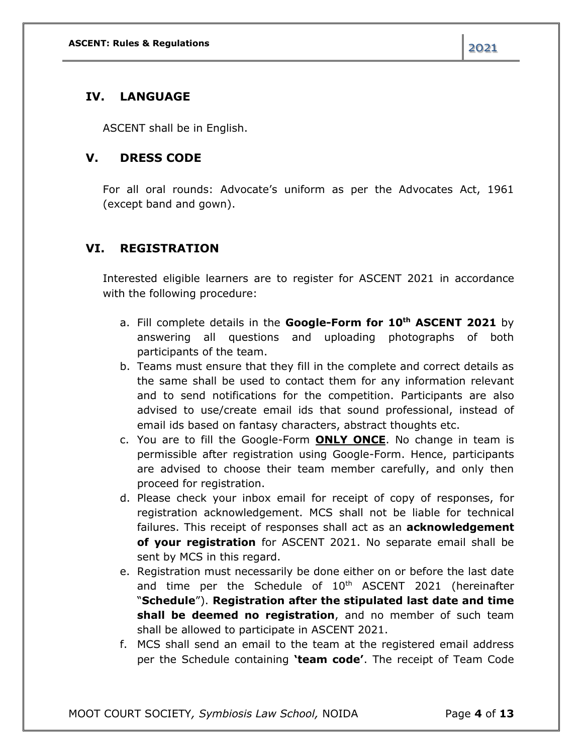### **IV. LANGUAGE**

ASCENT shall be in English.

### **V. DRESS CODE**

For all oral rounds: Advocate's uniform as per the Advocates Act, 1961 (except band and gown).

## **VI. REGISTRATION**

Interested eligible learners are to register for ASCENT 2021 in accordance with the following procedure:

- a. Fill complete details in the **Google-Form for 10th ASCENT 2021** by answering all questions and uploading photographs of both participants of the team.
- b. Teams must ensure that they fill in the complete and correct details as the same shall be used to contact them for any information relevant and to send notifications for the competition. Participants are also advised to use/create email ids that sound professional, instead of email ids based on fantasy characters, abstract thoughts etc.
- c. You are to fill the Google-Form **ONLY ONCE**. No change in team is permissible after registration using Google-Form. Hence, participants are advised to choose their team member carefully, and only then proceed for registration.
- d. Please check your inbox email for receipt of copy of responses, for registration acknowledgement. MCS shall not be liable for technical failures. This receipt of responses shall act as an **acknowledgement of your registration** for ASCENT 2021. No separate email shall be sent by MCS in this regard.
- e. Registration must necessarily be done either on or before the last date and time per the Schedule of 10<sup>th</sup> ASCENT 2021 (hereinafter "**Schedule**"). **Registration after the stipulated last date and time shall be deemed no registration**, and no member of such team shall be allowed to participate in ASCENT 2021.
- f. MCS shall send an email to the team at the registered email address per the Schedule containing **'team code'**. The receipt of Team Code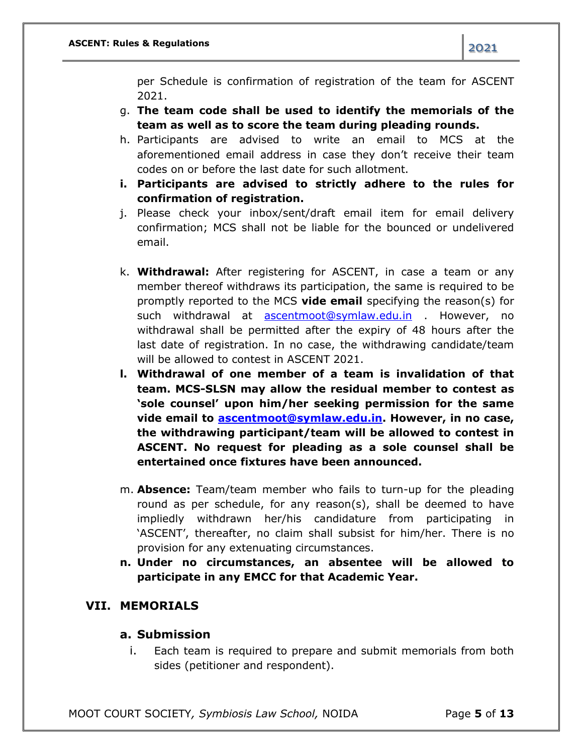per Schedule is confirmation of registration of the team for ASCENT 2021.

- g. **The team code shall be used to identify the memorials of the team as well as to score the team during pleading rounds.**
- h. Participants are advised to write an email to MCS at the aforementioned email address in case they don't receive their team codes on or before the last date for such allotment.
- **i. Participants are advised to strictly adhere to the rules for confirmation of registration.**
- j. Please check your inbox/sent/draft email item for email delivery confirmation; MCS shall not be liable for the bounced or undelivered email.
- k. **Withdrawal:** After registering for ASCENT, in case a team or any member thereof withdraws its participation, the same is required to be promptly reported to the MCS **vide email** specifying the reason(s) for such withdrawal at [ascentmoot@symlaw.edu.in](mailto:ascentmoot@symlaw.edu.in) . However, no withdrawal shall be permitted after the expiry of 48 hours after the last date of registration. In no case, the withdrawing candidate/team will be allowed to contest in ASCENT 2021.
- **l. Withdrawal of one member of a team is invalidation of that team. MCS-SLSN may allow the residual member to contest as 'sole counsel' upon him/her seeking permission for the same vide email to [ascentmoot@symlaw.edu.in.](mailto:ascentmoot@symlaw.edu.in) However, in no case, the withdrawing participant/team will be allowed to contest in ASCENT. No request for pleading as a sole counsel shall be entertained once fixtures have been announced.**
- m. **Absence:** Team/team member who fails to turn-up for the pleading round as per schedule, for any reason(s), shall be deemed to have impliedly withdrawn her/his candidature from participating in 'ASCENT', thereafter, no claim shall subsist for him/her. There is no provision for any extenuating circumstances.
- **n. Under no circumstances, an absentee will be allowed to participate in any EMCC for that Academic Year.**

#### **VII. MEMORIALS**

#### **a. Submission**

i. Each team is required to prepare and submit memorials from both sides (petitioner and respondent).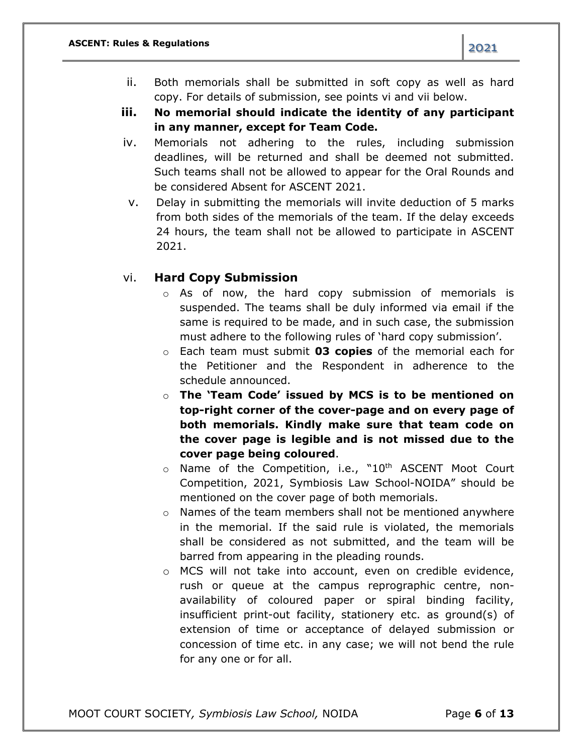- ii. Both memorials shall be submitted in soft copy as well as hard copy. For details of submission, see points vi and vii below.
- **iii. No memorial should indicate the identity of any participant in any manner, except for Team Code.**
- iv. Memorials not adhering to the rules, including submission deadlines, will be returned and shall be deemed not submitted. Such teams shall not be allowed to appear for the Oral Rounds and be considered Absent for ASCENT 2021.
- v. Delay in submitting the memorials will invite deduction of 5 marks from both sides of the memorials of the team. If the delay exceeds 24 hours, the team shall not be allowed to participate in ASCENT 2021.

#### vi. **Hard Copy Submission**

- o As of now, the hard copy submission of memorials is suspended. The teams shall be duly informed via email if the same is required to be made, and in such case, the submission must adhere to the following rules of 'hard copy submission'.
- o Each team must submit **03 copies** of the memorial each for the Petitioner and the Respondent in adherence to the schedule announced.
- o **The 'Team Code' issued by MCS is to be mentioned on top-right corner of the cover-page and on every page of both memorials. Kindly make sure that team code on the cover page is legible and is not missed due to the cover page being coloured**.
- $\circ$  Name of the Competition, i.e., "10<sup>th</sup> ASCENT Moot Court Competition, 2021, Symbiosis Law School-NOIDA" should be mentioned on the cover page of both memorials.
- o Names of the team members shall not be mentioned anywhere in the memorial. If the said rule is violated, the memorials shall be considered as not submitted, and the team will be barred from appearing in the pleading rounds.
- o MCS will not take into account, even on credible evidence, rush or queue at the campus reprographic centre, nonavailability of coloured paper or spiral binding facility, insufficient print-out facility, stationery etc. as ground(s) of extension of time or acceptance of delayed submission or concession of time etc. in any case; we will not bend the rule for any one or for all.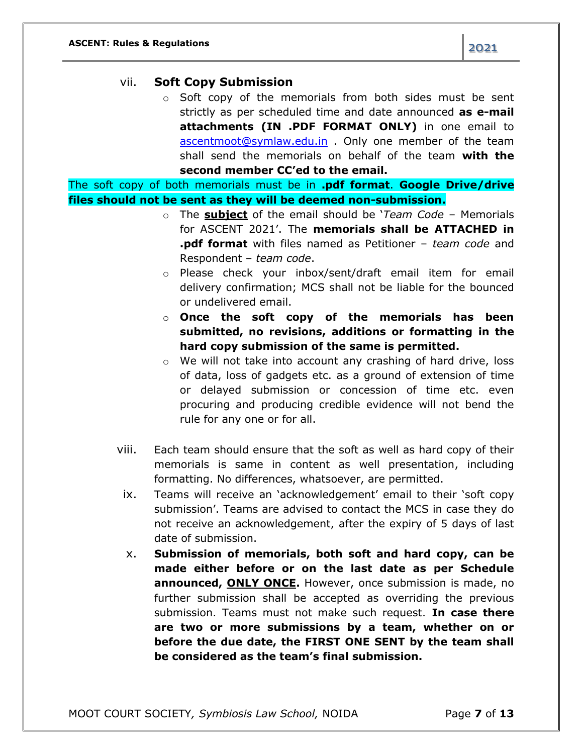o Soft copy of the memorials from both sides must be sent strictly as per scheduled time and date announced **as e-mail attachments (IN .PDF FORMAT ONLY)** in one email to [ascentmoot@symlaw.edu.in](mailto:ascentmoot@symlaw.edu.in) . Only one member of the team shall send the memorials on behalf of the team **with the second member CC'ed to the email.**

The soft copy of both memorials must be in **.pdf format**. **Google Drive/drive files should not be sent as they will be deemed non-submission.**

- o The **subject** of the email should be '*Team Code* Memorials for ASCENT 2021'. The **memorials shall be ATTACHED in .pdf format** with files named as Petitioner – *team code* and Respondent – *team code*.
- o Please check your inbox/sent/draft email item for email delivery confirmation; MCS shall not be liable for the bounced or undelivered email.
- o **Once the soft copy of the memorials has been submitted, no revisions, additions or formatting in the hard copy submission of the same is permitted.**
- o We will not take into account any crashing of hard drive, loss of data, loss of gadgets etc. as a ground of extension of time or delayed submission or concession of time etc. even procuring and producing credible evidence will not bend the rule for any one or for all.
- viii. Each team should ensure that the soft as well as hard copy of their memorials is same in content as well presentation, including formatting. No differences, whatsoever, are permitted.
- ix. Teams will receive an 'acknowledgement' email to their 'soft copy submission'. Teams are advised to contact the MCS in case they do not receive an acknowledgement, after the expiry of 5 days of last date of submission.
- x. **Submission of memorials, both soft and hard copy, can be made either before or on the last date as per Schedule announced, ONLY ONCE.** However, once submission is made, no further submission shall be accepted as overriding the previous submission. Teams must not make such request. **In case there are two or more submissions by a team, whether on or before the due date, the FIRST ONE SENT by the team shall be considered as the team's final submission.**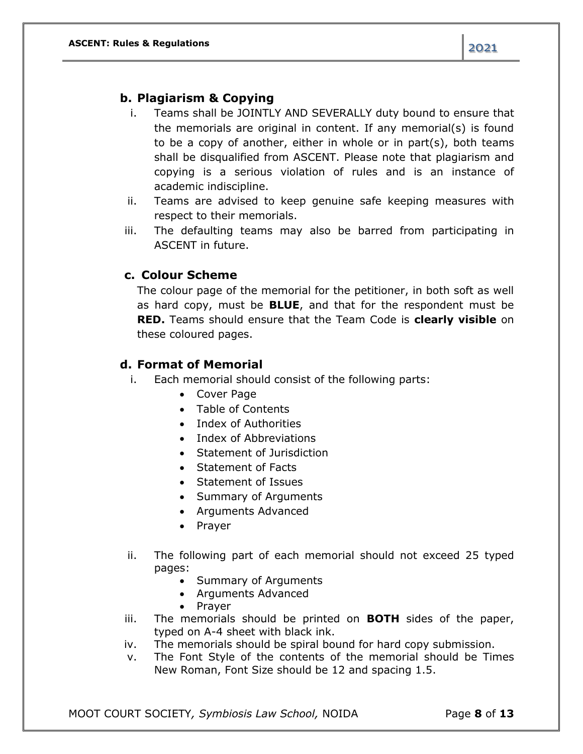### **b. Plagiarism & Copying**

- i. Teams shall be JOINTLY AND SEVERALLY duty bound to ensure that the memorials are original in content. If any memorial(s) is found to be a copy of another, either in whole or in part(s), both teams shall be disqualified from ASCENT. Please note that plagiarism and copying is a serious violation of rules and is an instance of academic indiscipline.
- ii. Teams are advised to keep genuine safe keeping measures with respect to their memorials.
- iii. The defaulting teams may also be barred from participating in ASCENT in future.

#### **c. Colour Scheme**

The colour page of the memorial for the petitioner, in both soft as well as hard copy, must be **BLUE**, and that for the respondent must be **RED.** Teams should ensure that the Team Code is **clearly visible** on these coloured pages.

#### **d. Format of Memorial**

- i. Each memorial should consist of the following parts:
	- Cover Page
	- Table of Contents
	- Index of Authorities
	- Index of Abbreviations
	- Statement of Jurisdiction
	- Statement of Facts
	- Statement of Issues
	- Summary of Arguments
	- Arguments Advanced
	- Prayer
- ii. The following part of each memorial should not exceed 25 typed pages:
	- Summary of Arguments
	- Arguments Advanced
	- Prayer
- iii. The memorials should be printed on **BOTH** sides of the paper, typed on A-4 sheet with black ink.
- iv. The memorials should be spiral bound for hard copy submission.
- v. The Font Style of the contents of the memorial should be Times New Roman, Font Size should be 12 and spacing 1.5.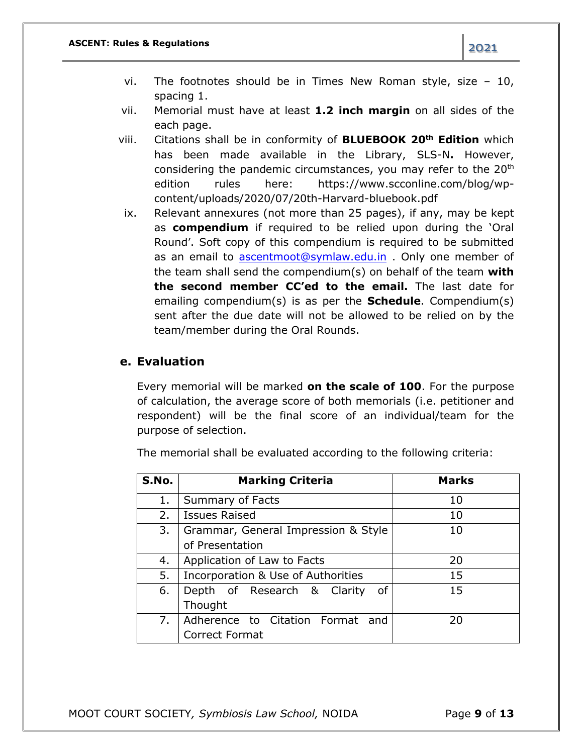- vi. The footnotes should be in Times New Roman style, size 10, spacing 1.
- vii. Memorial must have at least **1.2 inch margin** on all sides of the each page.
- viii. Citations shall be in conformity of **BLUEBOOK 20th Edition** which has been made available in the Library, SLS-N**.** However, considering the pandemic circumstances, you may refer to the 20<sup>th</sup> edition rules here: https://www.scconline.com/blog/wpcontent/uploads/2020/07/20th-Harvard-bluebook.pdf
- ix. Relevant annexures (not more than 25 pages), if any, may be kept as **compendium** if required to be relied upon during the 'Oral Round'. Soft copy of this compendium is required to be submitted as an email to [ascentmoot@symlaw.edu.in](mailto:ascentmoot@symlaw.edu.in) . Only one member of the team shall send the compendium(s) on behalf of the team **with the second member CC'ed to the email.** The last date for emailing compendium(s) is as per the **Schedule**. Compendium(s) sent after the due date will not be allowed to be relied on by the team/member during the Oral Rounds.

#### **e. Evaluation**

Every memorial will be marked **on the scale of 100**. For the purpose of calculation, the average score of both memorials (i.e. petitioner and respondent) will be the final score of an individual/team for the purpose of selection.

| S.No. | <b>Marking Criteria</b>             | <b>Marks</b> |
|-------|-------------------------------------|--------------|
| 1.    | Summary of Facts                    | 10           |
| 2.    | <b>Issues Raised</b>                | 10           |
| 3.    | Grammar, General Impression & Style | 10           |
|       | of Presentation                     |              |
| 4.    | Application of Law to Facts         | 20           |
| 5.    | Incorporation & Use of Authorities  | 15           |
| 6.    | Depth of Research & Clarity<br>0f   | 15           |
|       | Thought                             |              |
| 7.    | Adherence to Citation Format<br>and | 20           |
|       | Correct Format                      |              |

The memorial shall be evaluated according to the following criteria: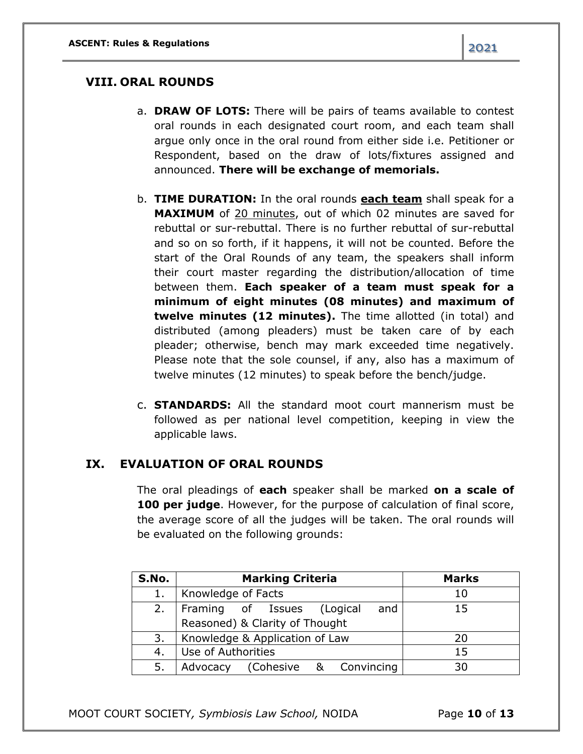#### **VIII. ORAL ROUNDS**

- a. **DRAW OF LOTS:** There will be pairs of teams available to contest oral rounds in each designated court room, and each team shall argue only once in the oral round from either side i.e. Petitioner or Respondent, based on the draw of lots/fixtures assigned and announced. **There will be exchange of memorials.**
- b. **TIME DURATION:** In the oral rounds **each team** shall speak for a **MAXIMUM** of 20 minutes, out of which 02 minutes are saved for rebuttal or sur-rebuttal. There is no further rebuttal of sur-rebuttal and so on so forth, if it happens, it will not be counted. Before the start of the Oral Rounds of any team, the speakers shall inform their court master regarding the distribution/allocation of time between them. **Each speaker of a team must speak for a minimum of eight minutes (08 minutes) and maximum of twelve minutes (12 minutes).** The time allotted (in total) and distributed (among pleaders) must be taken care of by each pleader; otherwise, bench may mark exceeded time negatively. Please note that the sole counsel, if any, also has a maximum of twelve minutes (12 minutes) to speak before the bench/judge.
- c. **STANDARDS:** All the standard moot court mannerism must be followed as per national level competition, keeping in view the applicable laws.

#### **IX. EVALUATION OF ORAL ROUNDS**

The oral pleadings of **each** speaker shall be marked **on a scale of 100 per judge**. However, for the purpose of calculation of final score, the average score of all the judges will be taken. The oral rounds will be evaluated on the following grounds:

| S.No. | <b>Marking Criteria</b>           | <b>Marks</b> |
|-------|-----------------------------------|--------------|
|       | Knowledge of Facts                | 10           |
| 2.    | and<br>Framing of Issues (Logical | 15           |
|       | Reasoned) & Clarity of Thought    |              |
| 3.    | Knowledge & Application of Law    | 20           |
| 4.    | Use of Authorities                | 15           |
| 5.    | Advocacy (Cohesive & Convincing   | 30           |

MOOT COURT SOCIETY*, Symbiosis Law School,* NOIDA Page **10** of **13**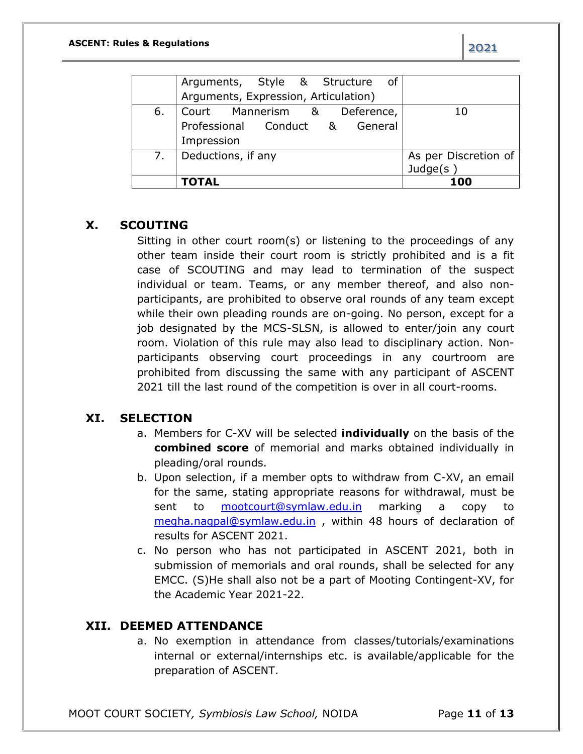|    | Arguments, Style & Structure of      |                      |
|----|--------------------------------------|----------------------|
|    | Arguments, Expression, Articulation) |                      |
| 6. | Court Mannerism & Deference,         | 10                   |
|    | Professional Conduct & General       |                      |
|    | Impression                           |                      |
|    | Deductions, if any                   | As per Discretion of |
|    |                                      | Judge $(s)$          |
|    | <b>TOTAL</b>                         | 100                  |

### **X. SCOUTING**

Sitting in other court room(s) or listening to the proceedings of any other team inside their court room is strictly prohibited and is a fit case of SCOUTING and may lead to termination of the suspect individual or team. Teams, or any member thereof, and also nonparticipants, are prohibited to observe oral rounds of any team except while their own pleading rounds are on-going. No person, except for a job designated by the MCS-SLSN, is allowed to enter/join any court room. Violation of this rule may also lead to disciplinary action. Nonparticipants observing court proceedings in any courtroom are prohibited from discussing the same with any participant of ASCENT 2021 till the last round of the competition is over in all court-rooms.

### **XI. SELECTION**

- a. Members for C-XV will be selected **individually** on the basis of the **combined score** of memorial and marks obtained individually in pleading/oral rounds.
- b. Upon selection, if a member opts to withdraw from C-XV, an email for the same, stating appropriate reasons for withdrawal, must be sent to [mootcourt@symlaw.edu.in](mailto:mootcourt@symlaw.edu.in) marking a copy to [megha.nagpal@symlaw.edu.in](mailto:megha.nagpal@symlaw.edu.in) , within 48 hours of declaration of results for ASCENT 2021.
- c. No person who has not participated in ASCENT 2021, both in submission of memorials and oral rounds, shall be selected for any EMCC. (S)He shall also not be a part of Mooting Contingent-XV, for the Academic Year 2021-22.

### **XII. DEEMED ATTENDANCE**

a. No exemption in attendance from classes/tutorials/examinations internal or external/internships etc. is available/applicable for the preparation of ASCENT.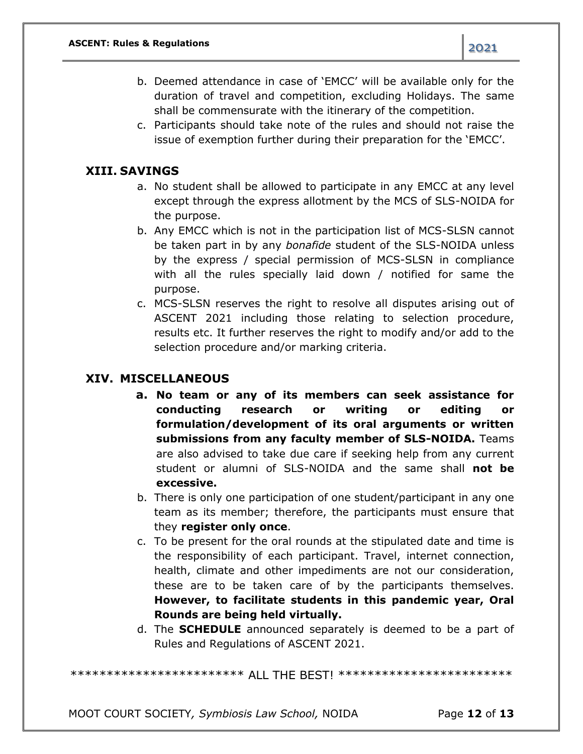- b. Deemed attendance in case of 'EMCC' will be available only for the duration of travel and competition, excluding Holidays. The same shall be commensurate with the itinerary of the competition.
- c. Participants should take note of the rules and should not raise the issue of exemption further during their preparation for the 'EMCC'.

### **XIII. SAVINGS**

- a. No student shall be allowed to participate in any EMCC at any level except through the express allotment by the MCS of SLS-NOIDA for the purpose.
- b. Any EMCC which is not in the participation list of MCS-SLSN cannot be taken part in by any *bonafide* student of the SLS-NOIDA unless by the express / special permission of MCS-SLSN in compliance with all the rules specially laid down / notified for same the purpose.
- c. MCS-SLSN reserves the right to resolve all disputes arising out of ASCENT 2021 including those relating to selection procedure, results etc. It further reserves the right to modify and/or add to the selection procedure and/or marking criteria.

### **XIV. MISCELLANEOUS**

- **a. No team or any of its members can seek assistance for conducting research or writing or editing or formulation/development of its oral arguments or written submissions from any faculty member of SLS-NOIDA.** Teams are also advised to take due care if seeking help from any current student or alumni of SLS-NOIDA and the same shall **not be excessive.**
- b. There is only one participation of one student/participant in any one team as its member; therefore, the participants must ensure that they **register only once**.
- c. To be present for the oral rounds at the stipulated date and time is the responsibility of each participant. Travel, internet connection, health, climate and other impediments are not our consideration, these are to be taken care of by the participants themselves. **However, to facilitate students in this pandemic year, Oral Rounds are being held virtually.**
- d. The **SCHEDULE** announced separately is deemed to be a part of Rules and Regulations of ASCENT 2021.

\*\*\*\*\*\*\*\*\*\*\*\*\*\*\*\*\*\*\*\*\*\*\*\* ALL THE BEST! \*\*\*\*\*\*\*\*\*\*\*\*\*\*\*\*\*\*\*\*\*\*\*\*

MOOT COURT SOCIETY*, Symbiosis Law School,* NOIDA Page **12** of **13**